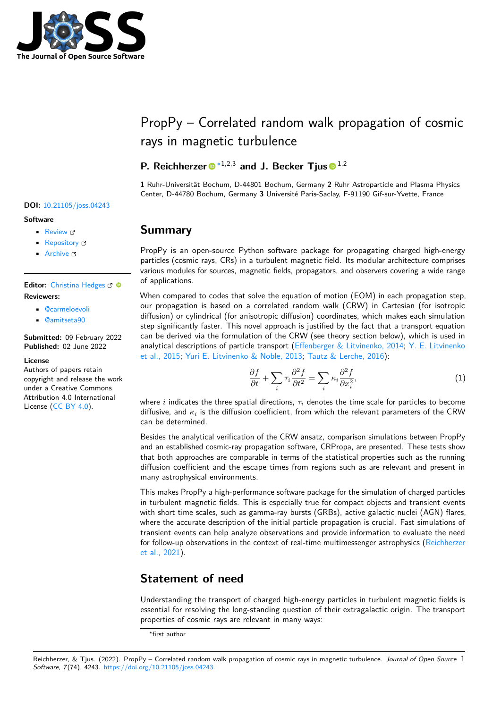

# PropPy – Correlated random walk propagation of cosmic rays in magnetic turbulence

### **P. Reichherzer** <sup>■ [∗1](#page-4-0),2,3</sup> and **J. Becker Tius** ■ <sup>1,2</sup>

**1** Ruhr-Universität Bochum, D-44801 Bochum, Germany **2** Ruhr Astroparticle and Plasma Physics Center, D-44780 Bochum, Germany **3** Université Paris-Saclay, F-91190 Gif-sur-Yvette, France

### **Summary**

PropPy is an open-source Python software package for propagating charged high-energy particles (cosmic rays, CRs) in a turbulent magnetic field. Its modular architecture comprises various modules for sources, magnetic fields, propagators, and observers covering a wide range of applications.

When compared to codes that solve the equation of motion (EOM) in each propagation step, our propagation is based on a correlated random walk (CRW) in Cartesian (for isotropic diffusion) or cylindrical (for anisotropic diffusion) coordinates, which makes each simulation step significantly faster. This novel approach is justified by the fact that a transport equation can be derived via the formulation of the CRW (see theory section below), which is used in analytical descriptions of particle transport [\(Effenberger & Litvinenko, 2014;](#page-2-0) [Y. E. Litvinenko](#page-3-0) [et al., 2015;](#page-3-0) [Yuri E. Litvinenko & Noble, 2013;](#page-3-1) [Tautz & Lerche, 2016\)](#page-3-2):

$$
\frac{\partial f}{\partial t} + \sum_{i} \tau_i \frac{\partial^2 f}{\partial t^2} = \sum_{i} \kappa_i \frac{\partial^2 f}{\partial x_i^2},\tag{1}
$$

where i indicates the three spatial directions,  $\tau_i$  denotes the time scale for particles to become diffusive, and  $\kappa_i$  is the diffusion coefficient, from which the relevant parameters of the CRW can be determined.

Besides the analytical verification of the CRW ansatz, comparison simulations between PropPy and an established cosmic-ray propagation software, CRPropa, are presented. These tests show that both approaches are comparable in terms of the statistical properties such as the running diffusion coefficient and the escape times from regions such as are relevant and present in many astrophysical environments.

This makes PropPy a high-performance software package for the simulation of charged particles in turbulent magnetic fields. This is especially true for compact objects and transient events with short time scales, such as gamma-ray bursts (GRBs), active galactic nuclei (AGN) flares, where the accurate description of the initial particle propagation is crucial. Fast simulations of transient events can help analyze observations and provide information to evaluate the need for follow-up observations in the context of real-time multimessenger astrophysics [\(Reichherzer](#page-3-3) [et al., 2021\)](#page-3-3).

# **Statement of need**

Understanding the transport of charged high-energy particles in turbulent magnetic fields is essential for resolving the long-standing question of their extragalactic origin. The transport properties of cosmic rays are relevant in many ways:

<sup>∗</sup>first author

#### **DOI:** [10.21105/joss.04243](https://doi.org/10.21105/joss.04243)

#### **Software**

- [Review](https://github.com/openjournals/joss-reviews/issues/4243) r
- [Repository](https://gitlab.ruhr-uni-bochum.de/reichp2y/proppy) &
- [Archive](https://doi.org/10.5281/zenodo.6573056)

**Editor:** [Christina Hedges](https://christinahedges.github.io/) C<sup>®</sup> **Reviewers:**

- [@carmeloevoli](https://github.com/carmeloevoli)
- [@amitseta90](https://github.com/amitseta90)

**Submitted:** 09 February 2022 **Published:** 02 June 2022

#### **License**

Authors of papers retain copyright and release the work under a Creative Commons Attribution 4.0 International License [\(CC BY 4.0\)](https://creativecommons.org/licenses/by/4.0/).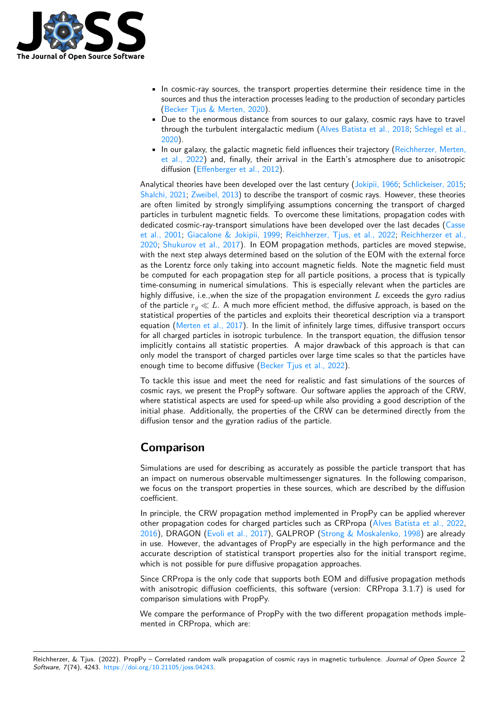

- In cosmic-ray sources, the transport properties determine their residence time in the sources and thus the interaction processes leading to the production of secondary particles [\(Becker Tjus & Merten, 2020\)](#page-2-1).
- Due to the enormous distance from sources to our galaxy, cosmic rays have to travel through the turbulent intergalactic medium [\(Alves Batista et al., 2018;](#page-2-2) [Schlegel et al.,](#page-3-4) [2020\)](#page-3-4).
- In our galaxy, the galactic magnetic field influences their trajectory [\(Reichherzer, Merten,](#page-3-5) [et al., 2022\)](#page-3-5) and, finally, their arrival in the Earth's atmosphere due to anisotropic diffusion [\(Effenberger et al., 2012\)](#page-2-3).

Analytical theories have been developed over the last century [\(Jokipii, 1966;](#page-3-6) [Schlickeiser, 2015;](#page-3-7) [Shalchi, 2021;](#page-3-8) [Zweibel, 2013\)](#page-4-1) to describe the transport of cosmic rays. However, these theories are often limited by strongly simplifying assumptions concerning the transport of charged particles in turbulent magnetic fields. To overcome these limitations, propagation codes with dedicated cosmic-ray-transport simulations have been developed over the last decades [\(Casse](#page-2-4) [et al., 2001;](#page-2-4) [Giacalone & Jokipii, 1999;](#page-3-9) [Reichherzer, Tjus, et al., 2022;](#page-3-10) [Reichherzer et al.,](#page-3-11) [2020;](#page-3-11) [Shukurov et al., 2017\)](#page-3-12). In EOM propagation methods, particles are moved stepwise, with the next step always determined based on the solution of the EOM with the external force as the Lorentz force only taking into account magnetic fields. Note the magnetic field must be computed for each propagation step for all particle positions, a process that is typically time-consuming in numerical simulations. This is especially relevant when the particles are highly diffusive, i.e., when the size of the propagation environment  $L$  exceeds the gyro radius of the particle  $r_q \ll L$ . A much more efficient method, the diffusive approach, is based on the statistical properties of the particles and exploits their theoretical description via a transport equation [\(Merten et al., 2017\)](#page-3-13). In the limit of infinitely large times, diffusive transport occurs for all charged particles in isotropic turbulence. In the transport equation, the diffusion tensor implicitly contains all statistic properties. A major drawback of this approach is that can only model the transport of charged particles over large time scales so that the particles have enough time to become diffusive [\(Becker Tjus et al., 2022\)](#page-2-5).

To tackle this issue and meet the need for realistic and fast simulations of the sources of cosmic rays, we present the PropPy software. Our software applies the approach of the CRW, where statistical aspects are used for speed-up while also providing a good description of the initial phase. Additionally, the properties of the CRW can be determined directly from the diffusion tensor and the gyration radius of the particle.

### **Comparison**

Simulations are used for describing as accurately as possible the particle transport that has an impact on numerous observable multimessenger signatures. In the following comparison, we focus on the transport properties in these sources, which are described by the diffusion coefficient.

In principle, the CRW propagation method implemented in PropPy can be applied wherever other propagation codes for charged particles such as CRPropa [\(Alves Batista et al., 2022,](#page-2-6) [2016\)](#page-2-7), DRAGON [\(Evoli et al., 2017\)](#page-3-14), GALPROP [\(Strong & Moskalenko, 1998\)](#page-3-15) are already in use. However, the advantages of PropPy are especially in the high performance and the accurate description of statistical transport properties also for the initial transport regime, which is not possible for pure diffusive propagation approaches.

Since CRPropa is the only code that supports both EOM and diffusive propagation methods with anisotropic diffusion coefficients, this software (version: CRPropa 3.1.7) is used for comparison simulations with PropPy.

We compare the performance of PropPy with the two different propagation methods implemented in CRPropa, which are: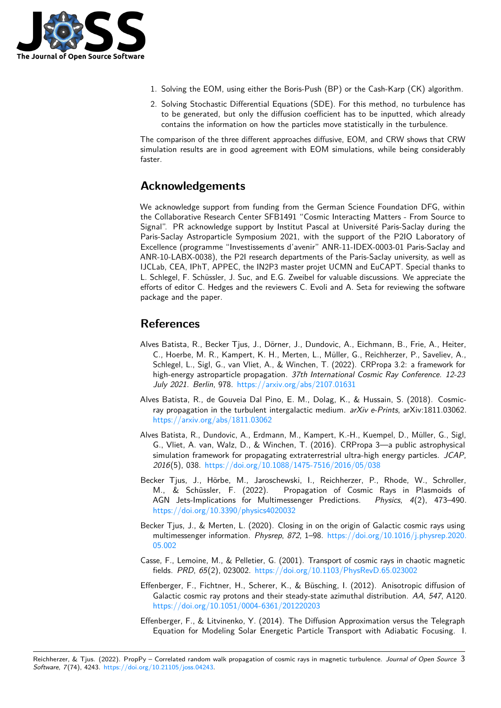

- 1. Solving the EOM, using either the Boris-Push (BP) or the Cash-Karp (CK) algorithm.
- 2. Solving Stochastic Differential Equations (SDE). For this method, no turbulence has to be generated, but only the diffusion coefficient has to be inputted, which already contains the information on how the particles move statistically in the turbulence.

The comparison of the three different approaches diffusive, EOM, and CRW shows that CRW simulation results are in good agreement with EOM simulations, while being considerably faster.

## **Acknowledgements**

We acknowledge support from funding from the German Science Foundation DFG, within the Collaborative Research Center SFB1491 "Cosmic Interacting Matters - From Source to Signal". PR acknowledge support by Institut Pascal at Université Paris-Saclay during the Paris-Saclay Astroparticle Symposium 2021, with the support of the P2IO Laboratory of Excellence (programme "Investissements d'avenir" ANR-11-IDEX-0003-01 Paris-Saclay and ANR-10-LABX-0038), the P2I research departments of the Paris-Saclay university, as well as IJCLab, CEA, IPhT, APPEC, the IN2P3 master projet UCMN and EuCAPT. Special thanks to L. Schlegel, F. Schüssler, J. Suc, and E.G. Zweibel for valuable discussions. We appreciate the efforts of editor C. Hedges and the reviewers C. Evoli and A. Seta for reviewing the software package and the paper.

# **References**

- <span id="page-2-6"></span>Alves Batista, R., Becker Tjus, J., Dörner, J., Dundovic, A., Eichmann, B., Frie, A., Heiter, C., Hoerbe, M. R., Kampert, K. H., Merten, L., Müller, G., Reichherzer, P., Saveliev, A., Schlegel, L., Sigl, G., van Vliet, A., & Winchen, T. (2022). CRPropa 3.2: a framework for high-energy astroparticle propagation. 37th International Cosmic Ray Conference. 12-23 July 2021. Berlin, 978. <https://arxiv.org/abs/2107.01631>
- <span id="page-2-2"></span>Alves Batista, R., de Gouveia Dal Pino, E. M., Dolag, K., & Hussain, S. (2018). Cosmicray propagation in the turbulent intergalactic medium.  $arXiv e\text{-}Prints$ ,  $arXiv:1811.03062$ . <https://arxiv.org/abs/1811.03062>
- <span id="page-2-7"></span>Alves Batista, R., Dundovic, A., Erdmann, M., Kampert, K.-H., Kuempel, D., Müller, G., Sigl, G., Vliet, A. van, Walz, D., & Winchen, T. (2016). CRPropa 3—a public astrophysical simulation framework for propagating extraterrestrial ultra-high energy particles. JCAP, 2016(5), 038. <https://doi.org/10.1088/1475-7516/2016/05/038>
- <span id="page-2-5"></span>Becker Tjus, J., Hörbe, M., Jaroschewski, I., Reichherzer, P., Rhode, W., Schroller, M., & Schüssler, F. (2022). Propagation of Cosmic Rays in Plasmoids of AGN Jets-Implications for Multimessenger Predictions. Physics, 4(2), 473–490. <https://doi.org/10.3390/physics4020032>
- <span id="page-2-1"></span>Becker Tjus, J., & Merten, L. (2020). Closing in on the origin of Galactic cosmic rays using multimessenger information. Physrep, 872, 1–98. [https://doi.org/10.1016/j.physrep.2020.](https://doi.org/10.1016/j.physrep.2020.05.002) [05.002](https://doi.org/10.1016/j.physrep.2020.05.002)
- <span id="page-2-4"></span>Casse, F., Lemoine, M., & Pelletier, G. (2001). Transport of cosmic rays in chaotic magnetic fields. PRD, 65(2), 023002. <https://doi.org/10.1103/PhysRevD.65.023002>
- <span id="page-2-3"></span>Effenberger, F., Fichtner, H., Scherer, K., & Büsching, I. (2012). Anisotropic diffusion of Galactic cosmic ray protons and their steady-state azimuthal distribution. AA, 547, A120. <https://doi.org/10.1051/0004-6361/201220203>
- <span id="page-2-0"></span>Effenberger, F., & Litvinenko, Y. (2014). The Diffusion Approximation versus the Telegraph Equation for Modeling Solar Energetic Particle Transport with Adiabatic Focusing. I.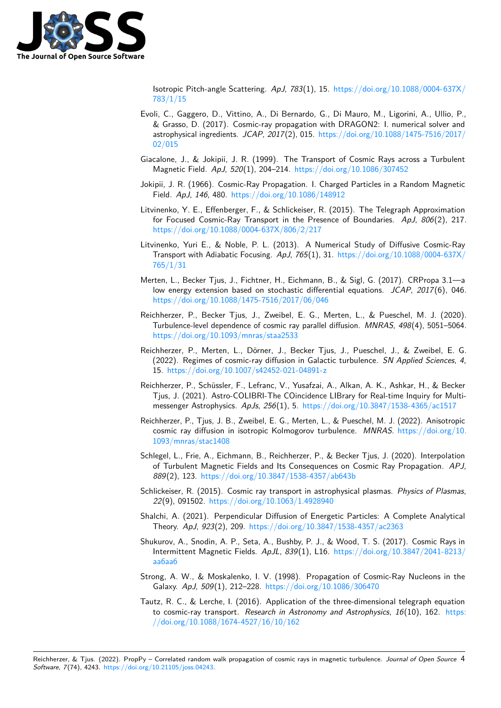

Isotropic Pitch-angle Scattering. ApJ, 783(1), 15. [https://doi.org/10.1088/0004-637X/](https://doi.org/10.1088/0004-637X/783/1/15) [783/1/15](https://doi.org/10.1088/0004-637X/783/1/15)

- <span id="page-3-14"></span>Evoli, C., Gaggero, D., Vittino, A., Di Bernardo, G., Di Mauro, M., Ligorini, A., Ullio, P., & Grasso, D. (2017). Cosmic-ray propagation with DRAGON2: I. numerical solver and astrophysical ingredients. JCAP, 2017(2), 015. [https://doi.org/10.1088/1475-7516/2017/](https://doi.org/10.1088/1475-7516/2017/02/015) [02/015](https://doi.org/10.1088/1475-7516/2017/02/015)
- <span id="page-3-9"></span>Giacalone, J., & Jokipii, J. R. (1999). The Transport of Cosmic Rays across a Turbulent Magnetic Field. ApJ, 520(1), 204–214. <https://doi.org/10.1086/307452>
- <span id="page-3-6"></span>Jokipii, J. R. (1966). Cosmic-Ray Propagation. I. Charged Particles in a Random Magnetic Field. ApJ, 146, 480. <https://doi.org/10.1086/148912>
- <span id="page-3-0"></span>Litvinenko, Y. E., Effenberger, F., & Schlickeiser, R. (2015). The Telegraph Approximation for Focused Cosmic-Ray Transport in the Presence of Boundaries. ApJ, 806(2), 217. <https://doi.org/10.1088/0004-637X/806/2/217>
- <span id="page-3-1"></span>Litvinenko, Yuri E., & Noble, P. L. (2013). A Numerical Study of Diffusive Cosmic-Ray Transport with Adiabatic Focusing. ApJ, 765(1), 31. [https://doi.org/10.1088/0004-637X/](https://doi.org/10.1088/0004-637X/765/1/31) [765/1/31](https://doi.org/10.1088/0004-637X/765/1/31)
- <span id="page-3-13"></span>Merten, L., Becker Tjus, J., Fichtner, H., Eichmann, B., & Sigl, G. (2017). CRPropa 3.1—a low energy extension based on stochastic differential equations. JCAP, 2017(6), 046. <https://doi.org/10.1088/1475-7516/2017/06/046>
- <span id="page-3-11"></span>Reichherzer, P., Becker Tjus, J., Zweibel, E. G., Merten, L., & Pueschel, M. J. (2020). Turbulence-level dependence of cosmic ray parallel diffusion. MNRAS, 498(4), 5051–5064. <https://doi.org/10.1093/mnras/staa2533>
- <span id="page-3-5"></span>Reichherzer, P., Merten, L., Dörner, J., Becker Tjus, J., Pueschel, J., & Zweibel, E. G. (2022). Regimes of cosmic-ray diffusion in Galactic turbulence. SN Applied Sciences, 4, 15. <https://doi.org/10.1007/s42452-021-04891-z>
- <span id="page-3-3"></span>Reichherzer, P., Schüssler, F., Lefranc, V., Yusafzai, A., Alkan, A. K., Ashkar, H., & Becker Tjus, J. (2021). Astro-COLIBRI-The COincidence LIBrary for Real-time Inquiry for Multimessenger Astrophysics.  $ApJs$ ,  $256(1)$ , 5. <https://doi.org/10.3847/1538-4365/ac1517>
- <span id="page-3-10"></span>Reichherzer, P., Tjus, J. B., Zweibel, E. G., Merten, L., & Pueschel, M. J. (2022). Anisotropic cosmic ray diffusion in isotropic Kolmogorov turbulence. MNRAS. [https://doi.org/10.](https://doi.org/10.1093/mnras/stac1408) [1093/mnras/stac1408](https://doi.org/10.1093/mnras/stac1408)
- <span id="page-3-4"></span>Schlegel, L., Frie, A., Eichmann, B., Reichherzer, P., & Becker Tjus, J. (2020). Interpolation of Turbulent Magnetic Fields and Its Consequences on Cosmic Ray Propagation. APJ, 889(2), 123. <https://doi.org/10.3847/1538-4357/ab643b>
- <span id="page-3-7"></span>Schlickeiser, R. (2015). Cosmic ray transport in astrophysical plasmas. Physics of Plasmas, 22(9), 091502. <https://doi.org/10.1063/1.4928940>
- <span id="page-3-8"></span>Shalchi, A. (2021). Perpendicular Diffusion of Energetic Particles: A Complete Analytical Theory. ApJ, 923(2), 209. <https://doi.org/10.3847/1538-4357/ac2363>
- <span id="page-3-12"></span>Shukurov, A., Snodin, A. P., Seta, A., Bushby, P. J., & Wood, T. S. (2017). Cosmic Rays in Intermittent Magnetic Fields. ApJL, 839(1), L16. [https://doi.org/10.3847/2041-8213/](https://doi.org/10.3847/2041-8213/aa6aa6) [aa6aa6](https://doi.org/10.3847/2041-8213/aa6aa6)
- <span id="page-3-15"></span>Strong, A. W., & Moskalenko, I. V. (1998). Propagation of Cosmic-Ray Nucleons in the Galaxy. ApJ, 509(1), 212–228. <https://doi.org/10.1086/306470>
- <span id="page-3-2"></span>Tautz, R. C., & Lerche, I. (2016). Application of the three-dimensional telegraph equation to cosmic-ray transport. Research in Astronomy and Astrophysics,  $16(10)$ ,  $162$ . [https:](https://doi.org/10.1088/1674-4527/16/10/162) [//doi.org/10.1088/1674-4527/16/10/162](https://doi.org/10.1088/1674-4527/16/10/162)